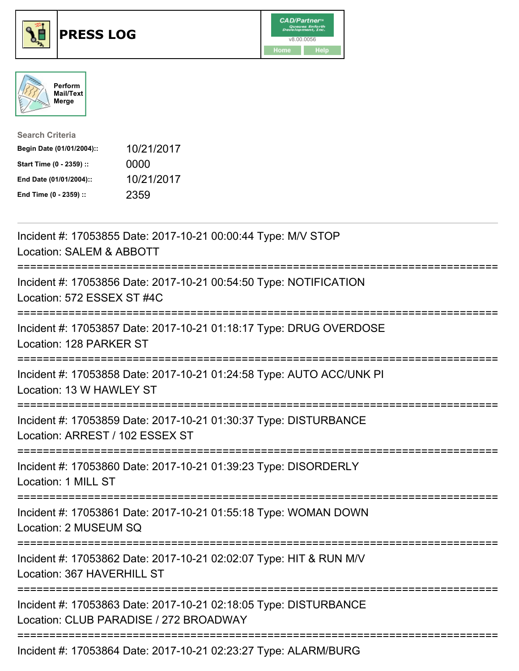





| <b>Search Criteria</b>    |            |
|---------------------------|------------|
| Begin Date (01/01/2004):: | 10/21/2017 |
| Start Time (0 - 2359) ::  | 0000       |
| End Date (01/01/2004)::   | 10/21/2017 |
| End Time (0 - 2359) ::    | 2359       |

| Incident #: 17053855 Date: 2017-10-21 00:00:44 Type: M/V STOP<br>Location: SALEM & ABBOTT                                                                          |
|--------------------------------------------------------------------------------------------------------------------------------------------------------------------|
| Incident #: 17053856 Date: 2017-10-21 00:54:50 Type: NOTIFICATION<br>Location: 572 ESSEX ST #4C                                                                    |
| Incident #: 17053857 Date: 2017-10-21 01:18:17 Type: DRUG OVERDOSE<br>Location: 128 PARKER ST                                                                      |
| Incident #: 17053858 Date: 2017-10-21 01:24:58 Type: AUTO ACC/UNK PI<br>Location: 13 W HAWLEY ST<br>---------------                                                |
| Incident #: 17053859 Date: 2017-10-21 01:30:37 Type: DISTURBANCE<br>Location: ARREST / 102 ESSEX ST<br>===============================<br>======================== |
| Incident #: 17053860 Date: 2017-10-21 01:39:23 Type: DISORDERLY<br>Location: 1 MILL ST<br>-----------------------------------                                      |
| Incident #: 17053861 Date: 2017-10-21 01:55:18 Type: WOMAN DOWN<br>Location: 2 MUSEUM SQ                                                                           |
| Incident #: 17053862 Date: 2017-10-21 02:02:07 Type: HIT & RUN M/V<br>Location: 367 HAVERHILL ST                                                                   |
| Incident #: 17053863 Date: 2017-10-21 02:18:05 Type: DISTURBANCE<br>Location: CLUB PARADISE / 272 BROADWAY<br>----------------------------------                   |
| Incident #: 17053864 Date: 2017-10-21 02:23:27 Type: ALARM/BURG                                                                                                    |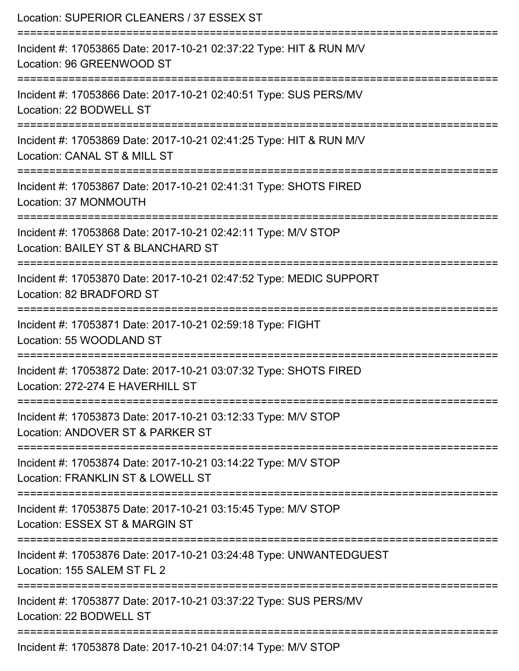| Location: SUPERIOR CLEANERS / 37 ESSEX ST                                                                                       |
|---------------------------------------------------------------------------------------------------------------------------------|
| Incident #: 17053865 Date: 2017-10-21 02:37:22 Type: HIT & RUN M/V<br>Location: 96 GREENWOOD ST                                 |
| Incident #: 17053866 Date: 2017-10-21 02:40:51 Type: SUS PERS/MV<br>Location: 22 BODWELL ST                                     |
| Incident #: 17053869 Date: 2017-10-21 02:41:25 Type: HIT & RUN M/V<br>Location: CANAL ST & MILL ST                              |
| Incident #: 17053867 Date: 2017-10-21 02:41:31 Type: SHOTS FIRED<br>Location: 37 MONMOUTH                                       |
| Incident #: 17053868 Date: 2017-10-21 02:42:11 Type: M/V STOP<br>Location: BAILEY ST & BLANCHARD ST                             |
| Incident #: 17053870 Date: 2017-10-21 02:47:52 Type: MEDIC SUPPORT<br>Location: 82 BRADFORD ST                                  |
| Incident #: 17053871 Date: 2017-10-21 02:59:18 Type: FIGHT<br>Location: 55 WOODLAND ST                                          |
| Incident #: 17053872 Date: 2017-10-21 03:07:32 Type: SHOTS FIRED<br>Location: 272-274 E HAVERHILL ST                            |
| :=========================<br>Incident #: 17053873 Date: 2017-10-21 03:12:33 Type: M/V STOP<br>Location: ANDOVER ST & PARKER ST |
| Incident #: 17053874 Date: 2017-10-21 03:14:22 Type: M/V STOP<br>Location: FRANKLIN ST & LOWELL ST                              |
| Incident #: 17053875 Date: 2017-10-21 03:15:45 Type: M/V STOP<br>Location: ESSEX ST & MARGIN ST                                 |
| Incident #: 17053876 Date: 2017-10-21 03:24:48 Type: UNWANTEDGUEST<br>Location: 155 SALEM ST FL 2                               |
| Incident #: 17053877 Date: 2017-10-21 03:37:22 Type: SUS PERS/MV<br>Location: 22 BODWELL ST                                     |
| Incident #: 17053878 Date: 2017-10-21 04:07:14 Type: M/V STOP                                                                   |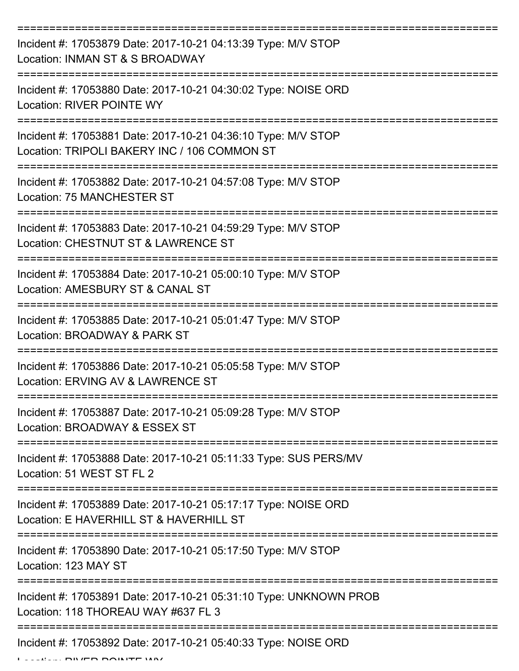| Incident #: 17053879 Date: 2017-10-21 04:13:39 Type: M/V STOP<br>Location: INMAN ST & S BROADWAY              |
|---------------------------------------------------------------------------------------------------------------|
| Incident #: 17053880 Date: 2017-10-21 04:30:02 Type: NOISE ORD<br><b>Location: RIVER POINTE WY</b>            |
| Incident #: 17053881 Date: 2017-10-21 04:36:10 Type: M/V STOP<br>Location: TRIPOLI BAKERY INC / 106 COMMON ST |
| Incident #: 17053882 Date: 2017-10-21 04:57:08 Type: M/V STOP<br>Location: 75 MANCHESTER ST                   |
| Incident #: 17053883 Date: 2017-10-21 04:59:29 Type: M/V STOP<br>Location: CHESTNUT ST & LAWRENCE ST          |
| Incident #: 17053884 Date: 2017-10-21 05:00:10 Type: M/V STOP<br>Location: AMESBURY ST & CANAL ST             |
| Incident #: 17053885 Date: 2017-10-21 05:01:47 Type: M/V STOP<br>Location: BROADWAY & PARK ST                 |
| Incident #: 17053886 Date: 2017-10-21 05:05:58 Type: M/V STOP<br>Location: ERVING AV & LAWRENCE ST            |
| Incident #: 17053887 Date: 2017-10-21 05:09:28 Type: M/V STOP<br>Location: BROADWAY & ESSEX ST                |
| Incident #: 17053888 Date: 2017-10-21 05:11:33 Type: SUS PERS/MV<br>Location: 51 WEST ST FL 2                 |
| Incident #: 17053889 Date: 2017-10-21 05:17:17 Type: NOISE ORD<br>Location: E HAVERHILL ST & HAVERHILL ST     |
| Incident #: 17053890 Date: 2017-10-21 05:17:50 Type: M/V STOP<br>Location: 123 MAY ST                         |
| Incident #: 17053891 Date: 2017-10-21 05:31:10 Type: UNKNOWN PROB<br>Location: 118 THOREAU WAY #637 FL 3      |
| Incident #: 17053892 Date: 2017-10-21 05:40:33 Type: NOISE ORD                                                |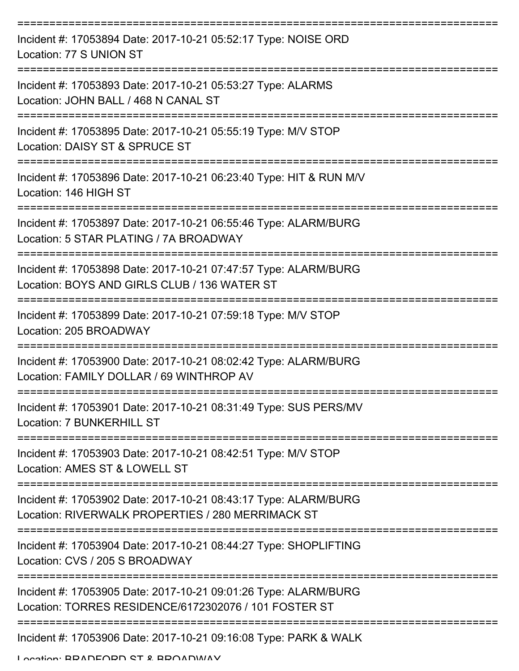| Incident #: 17053894 Date: 2017-10-21 05:52:17 Type: NOISE ORD<br>Location: 77 S UNION ST                                |
|--------------------------------------------------------------------------------------------------------------------------|
| Incident #: 17053893 Date: 2017-10-21 05:53:27 Type: ALARMS<br>Location: JOHN BALL / 468 N CANAL ST                      |
| Incident #: 17053895 Date: 2017-10-21 05:55:19 Type: M/V STOP<br>Location: DAISY ST & SPRUCE ST                          |
| Incident #: 17053896 Date: 2017-10-21 06:23:40 Type: HIT & RUN M/V<br>Location: 146 HIGH ST                              |
| Incident #: 17053897 Date: 2017-10-21 06:55:46 Type: ALARM/BURG<br>Location: 5 STAR PLATING / 7A BROADWAY                |
| Incident #: 17053898 Date: 2017-10-21 07:47:57 Type: ALARM/BURG<br>Location: BOYS AND GIRLS CLUB / 136 WATER ST          |
| Incident #: 17053899 Date: 2017-10-21 07:59:18 Type: M/V STOP<br>Location: 205 BROADWAY                                  |
| Incident #: 17053900 Date: 2017-10-21 08:02:42 Type: ALARM/BURG<br>Location: FAMILY DOLLAR / 69 WINTHROP AV              |
| Incident #: 17053901 Date: 2017-10-21 08:31:49 Type: SUS PERS/MV<br><b>Location: 7 BUNKERHILL ST</b>                     |
| Incident #: 17053903 Date: 2017-10-21 08:42:51 Type: M/V STOP<br>Location: AMES ST & LOWELL ST                           |
| Incident #: 17053902 Date: 2017-10-21 08:43:17 Type: ALARM/BURG<br>Location: RIVERWALK PROPERTIES / 280 MERRIMACK ST     |
| Incident #: 17053904 Date: 2017-10-21 08:44:27 Type: SHOPLIFTING<br>Location: CVS / 205 S BROADWAY                       |
| Incident #: 17053905 Date: 2017-10-21 09:01:26 Type: ALARM/BURG<br>Location: TORRES RESIDENCE/6172302076 / 101 FOSTER ST |
| Incident #: 17053906 Date: 2017-10-21 09:16:08 Type: PARK & WALK                                                         |

Location: BDANEODN ST & BDOANWAV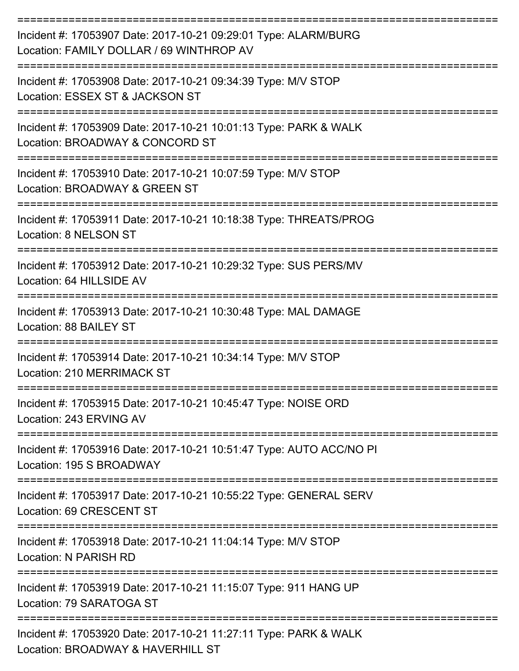| Incident #: 17053907 Date: 2017-10-21 09:29:01 Type: ALARM/BURG<br>Location: FAMILY DOLLAR / 69 WINTHROP AV |
|-------------------------------------------------------------------------------------------------------------|
| Incident #: 17053908 Date: 2017-10-21 09:34:39 Type: M/V STOP<br>Location: ESSEX ST & JACKSON ST            |
| Incident #: 17053909 Date: 2017-10-21 10:01:13 Type: PARK & WALK<br>Location: BROADWAY & CONCORD ST         |
| Incident #: 17053910 Date: 2017-10-21 10:07:59 Type: M/V STOP<br>Location: BROADWAY & GREEN ST              |
| Incident #: 17053911 Date: 2017-10-21 10:18:38 Type: THREATS/PROG<br>Location: 8 NELSON ST                  |
| Incident #: 17053912 Date: 2017-10-21 10:29:32 Type: SUS PERS/MV<br>Location: 64 HILLSIDE AV                |
| Incident #: 17053913 Date: 2017-10-21 10:30:48 Type: MAL DAMAGE<br>Location: 88 BAILEY ST                   |
| Incident #: 17053914 Date: 2017-10-21 10:34:14 Type: M/V STOP<br>Location: 210 MERRIMACK ST                 |
| Incident #: 17053915 Date: 2017-10-21 10:45:47 Type: NOISE ORD<br>Location: 243 ERVING AV                   |
| Incident #: 17053916 Date: 2017-10-21 10:51:47 Type: AUTO ACC/NO PI<br>Location: 195 S BROADWAY             |
| Incident #: 17053917 Date: 2017-10-21 10:55:22 Type: GENERAL SERV<br>Location: 69 CRESCENT ST               |
| Incident #: 17053918 Date: 2017-10-21 11:04:14 Type: M/V STOP<br>Location: N PARISH RD                      |
| Incident #: 17053919 Date: 2017-10-21 11:15:07 Type: 911 HANG UP<br>Location: 79 SARATOGA ST                |
| Incident #: 17053920 Date: 2017-10-21 11:27:11 Type: PARK & WALK<br>Location: BROADWAY & HAVERHILL ST       |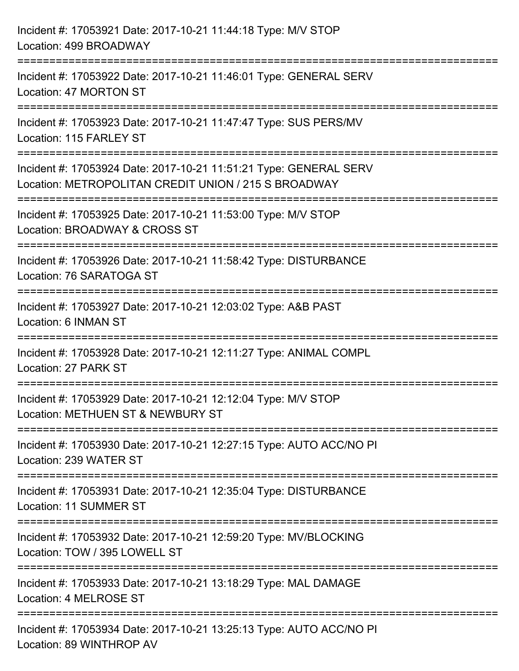| Incident #: 17053921 Date: 2017-10-21 11:44:18 Type: M/V STOP<br>Location: 499 BROADWAY                                                                                       |
|-------------------------------------------------------------------------------------------------------------------------------------------------------------------------------|
| :==================================<br>Incident #: 17053922 Date: 2017-10-21 11:46:01 Type: GENERAL SERV<br>Location: 47 MORTON ST<br>----------------<br>------------------- |
| Incident #: 17053923 Date: 2017-10-21 11:47:47 Type: SUS PERS/MV<br>Location: 115 FARLEY ST                                                                                   |
| Incident #: 17053924 Date: 2017-10-21 11:51:21 Type: GENERAL SERV<br>Location: METROPOLITAN CREDIT UNION / 215 S BROADWAY<br>====================================             |
| Incident #: 17053925 Date: 2017-10-21 11:53:00 Type: M/V STOP<br>Location: BROADWAY & CROSS ST                                                                                |
| Incident #: 17053926 Date: 2017-10-21 11:58:42 Type: DISTURBANCE<br>Location: 76 SARATOGA ST                                                                                  |
| Incident #: 17053927 Date: 2017-10-21 12:03:02 Type: A&B PAST<br>Location: 6 INMAN ST                                                                                         |
| Incident #: 17053928 Date: 2017-10-21 12:11:27 Type: ANIMAL COMPL<br>Location: 27 PARK ST                                                                                     |
| Incident #: 17053929 Date: 2017-10-21 12:12:04 Type: M/V STOP<br>Location: METHUEN ST & NEWBURY ST                                                                            |
| Incident #: 17053930 Date: 2017-10-21 12:27:15 Type: AUTO ACC/NO PI<br>Location: 239 WATER ST                                                                                 |
| Incident #: 17053931 Date: 2017-10-21 12:35:04 Type: DISTURBANCE<br><b>Location: 11 SUMMER ST</b>                                                                             |
| Incident #: 17053932 Date: 2017-10-21 12:59:20 Type: MV/BLOCKING<br>Location: TOW / 395 LOWELL ST                                                                             |
| Incident #: 17053933 Date: 2017-10-21 13:18:29 Type: MAL DAMAGE<br>Location: 4 MELROSE ST                                                                                     |
| Incident #: 17053934 Date: 2017-10-21 13:25:13 Type: AUTO ACC/NO PI<br>Location: 89 WINTHROP AV                                                                               |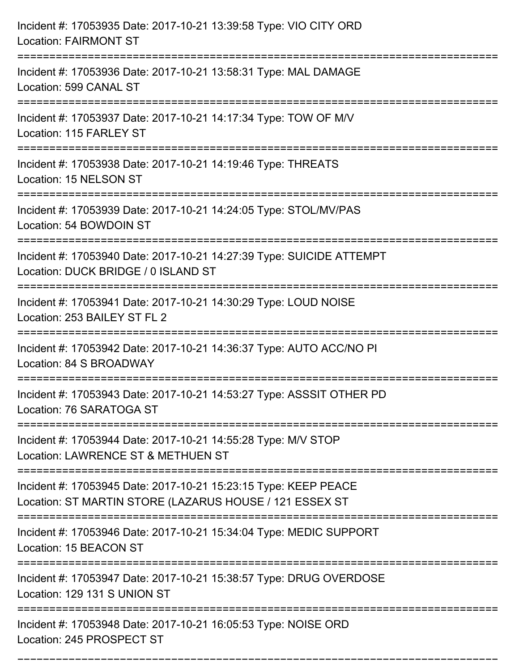| Incident #: 17053935 Date: 2017-10-21 13:39:58 Type: VIO CITY ORD<br><b>Location: FAIRMONT ST</b>                                 |
|-----------------------------------------------------------------------------------------------------------------------------------|
| Incident #: 17053936 Date: 2017-10-21 13:58:31 Type: MAL DAMAGE<br>Location: 599 CANAL ST                                         |
| Incident #: 17053937 Date: 2017-10-21 14:17:34 Type: TOW OF M/V<br>Location: 115 FARLEY ST<br>:=======================            |
| Incident #: 17053938 Date: 2017-10-21 14:19:46 Type: THREATS<br>Location: 15 NELSON ST                                            |
| Incident #: 17053939 Date: 2017-10-21 14:24:05 Type: STOL/MV/PAS<br>Location: 54 BOWDOIN ST                                       |
| Incident #: 17053940 Date: 2017-10-21 14:27:39 Type: SUICIDE ATTEMPT<br>Location: DUCK BRIDGE / 0 ISLAND ST                       |
| Incident #: 17053941 Date: 2017-10-21 14:30:29 Type: LOUD NOISE<br>Location: 253 BAILEY ST FL 2                                   |
| Incident #: 17053942 Date: 2017-10-21 14:36:37 Type: AUTO ACC/NO PI<br>Location: 84 S BROADWAY                                    |
| Incident #: 17053943 Date: 2017-10-21 14:53:27 Type: ASSSIT OTHER PD<br>Location: 76 SARATOGA ST                                  |
| Incident #: 17053944 Date: 2017-10-21 14:55:28 Type: M/V STOP<br>Location: LAWRENCE ST & METHUEN ST                               |
| Incident #: 17053945 Date: 2017-10-21 15:23:15 Type: KEEP PEACE<br>Location: ST MARTIN STORE (LAZARUS HOUSE / 121 ESSEX ST        |
| :================================<br>Incident #: 17053946 Date: 2017-10-21 15:34:04 Type: MEDIC SUPPORT<br>Location: 15 BEACON ST |
| Incident #: 17053947 Date: 2017-10-21 15:38:57 Type: DRUG OVERDOSE<br>Location: 129 131 S UNION ST                                |
| Incident #: 17053948 Date: 2017-10-21 16:05:53 Type: NOISE ORD<br>Location: 245 PROSPECT ST                                       |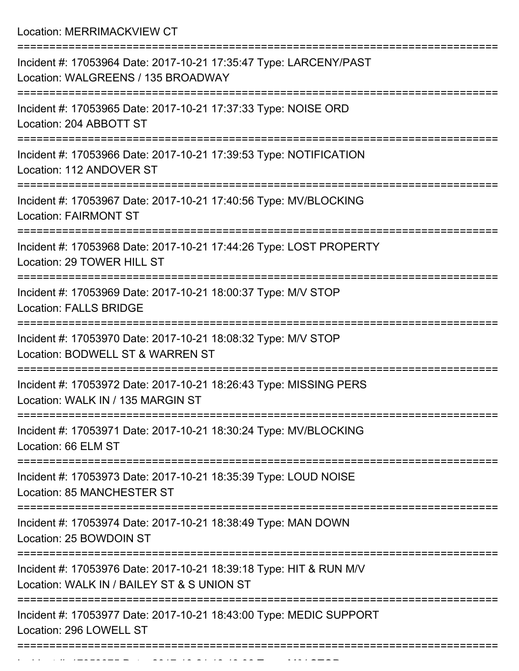Location: MERRIMACKVIEW CT

| Incident #: 17053964 Date: 2017-10-21 17:35:47 Type: LARCENY/PAST<br>Location: WALGREENS / 135 BROADWAY                 |
|-------------------------------------------------------------------------------------------------------------------------|
| Incident #: 17053965 Date: 2017-10-21 17:37:33 Type: NOISE ORD<br>Location: 204 ABBOTT ST                               |
| Incident #: 17053966 Date: 2017-10-21 17:39:53 Type: NOTIFICATION<br>Location: 112 ANDOVER ST                           |
| Incident #: 17053967 Date: 2017-10-21 17:40:56 Type: MV/BLOCKING<br><b>Location: FAIRMONT ST</b>                        |
| Incident #: 17053968 Date: 2017-10-21 17:44:26 Type: LOST PROPERTY<br>Location: 29 TOWER HILL ST                        |
| Incident #: 17053969 Date: 2017-10-21 18:00:37 Type: M/V STOP<br><b>Location: FALLS BRIDGE</b>                          |
| Incident #: 17053970 Date: 2017-10-21 18:08:32 Type: M/V STOP<br>Location: BODWELL ST & WARREN ST                       |
| Incident #: 17053972 Date: 2017-10-21 18:26:43 Type: MISSING PERS<br>Location: WALK IN / 135 MARGIN ST                  |
| Incident #: 17053971 Date: 2017-10-21 18:30:24 Type: MV/BLOCKING<br>Location: 66 ELM ST                                 |
| ======================<br>Incident #: 17053973 Date: 2017-10-21 18:35:39 Type: LOUD NOISE<br>Location: 85 MANCHESTER ST |
| Incident #: 17053974 Date: 2017-10-21 18:38:49 Type: MAN DOWN<br>Location: 25 BOWDOIN ST                                |
| Incident #: 17053976 Date: 2017-10-21 18:39:18 Type: HIT & RUN M/V<br>Location: WALK IN / BAILEY ST & S UNION ST        |
| Incident #: 17053977 Date: 2017-10-21 18:43:00 Type: MEDIC SUPPORT<br>Location: 296 LOWELL ST                           |
|                                                                                                                         |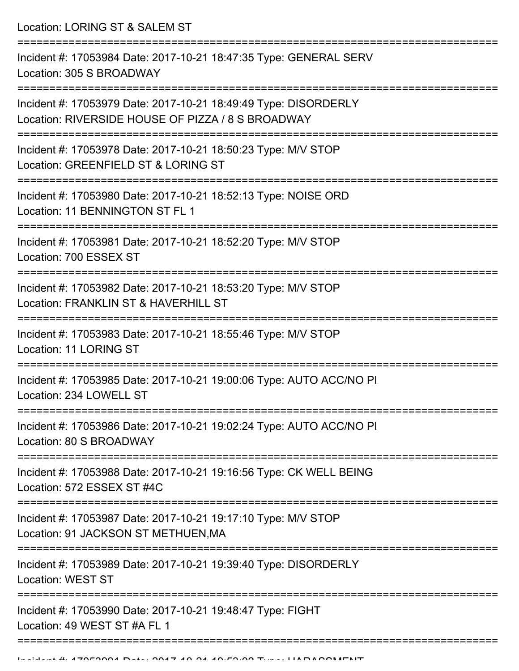Location: LORING ST & SALEM ST

=========================================================================== Incident #: 17053984 Date: 2017-10-21 18:47:35 Type: GENERAL SERV Location: 305 S BROADWAY =========================================================================== Incident #: 17053979 Date: 2017-10-21 18:49:49 Type: DISORDERLY Location: RIVERSIDE HOUSE OF PIZZA / 8 S BROADWAY =========================================================================== Incident #: 17053978 Date: 2017-10-21 18:50:23 Type: M/V STOP Location: GREENFIELD ST & LORING ST =========================================================================== Incident #: 17053980 Date: 2017-10-21 18:52:13 Type: NOISE ORD Location: 11 BENNINGTON ST FL 1 =========================================================================== Incident #: 17053981 Date: 2017-10-21 18:52:20 Type: M/V STOP Location: 700 ESSEX ST =========================================================================== Incident #: 17053982 Date: 2017-10-21 18:53:20 Type: M/V STOP Location: FRANKLIN ST & HAVERHILL ST =========================================================================== Incident #: 17053983 Date: 2017-10-21 18:55:46 Type: M/V STOP Location: 11 LORING ST =========================================================================== Incident #: 17053985 Date: 2017-10-21 19:00:06 Type: AUTO ACC/NO PI Location: 234 LOWELL ST =========================================================================== Incident #: 17053986 Date: 2017-10-21 19:02:24 Type: AUTO ACC/NO PI Location: 80 S BROADWAY =========================================================================== Incident #: 17053988 Date: 2017-10-21 19:16:56 Type: CK WELL BEING Location: 572 ESSEX ST #4C =========================================================================== Incident #: 17053987 Date: 2017-10-21 19:17:10 Type: M/V STOP Location: 91 JACKSON ST METHUEN,MA =========================================================================== Incident #: 17053989 Date: 2017-10-21 19:39:40 Type: DISORDERLY Location: WEST ST =========================================================================== Incident #: 17053990 Date: 2017-10-21 19:48:47 Type: FIGHT Location: 49 WEST ST #A FL 1 ======================================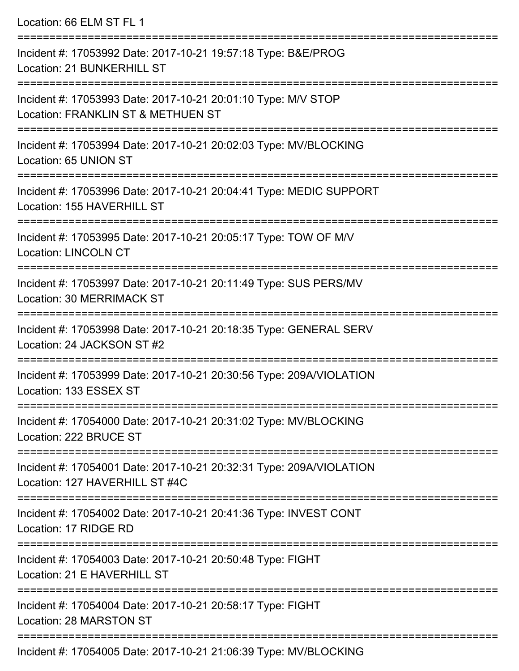| Location: 66 ELM ST FL 1                                                                                                                   |
|--------------------------------------------------------------------------------------------------------------------------------------------|
| Incident #: 17053992 Date: 2017-10-21 19:57:18 Type: B&E/PROG<br>Location: 21 BUNKERHILL ST                                                |
| Incident #: 17053993 Date: 2017-10-21 20:01:10 Type: M/V STOP<br>Location: FRANKLIN ST & METHUEN ST<br>=================================== |
| Incident #: 17053994 Date: 2017-10-21 20:02:03 Type: MV/BLOCKING<br>Location: 65 UNION ST                                                  |
| Incident #: 17053996 Date: 2017-10-21 20:04:41 Type: MEDIC SUPPORT<br>Location: 155 HAVERHILL ST                                           |
| Incident #: 17053995 Date: 2017-10-21 20:05:17 Type: TOW OF M/V<br><b>Location: LINCOLN CT</b>                                             |
| Incident #: 17053997 Date: 2017-10-21 20:11:49 Type: SUS PERS/MV<br><b>Location: 30 MERRIMACK ST</b>                                       |
| Incident #: 17053998 Date: 2017-10-21 20:18:35 Type: GENERAL SERV<br>Location: 24 JACKSON ST #2                                            |
| Incident #: 17053999 Date: 2017-10-21 20:30:56 Type: 209A/VIOLATION<br>Location: 133 ESSEX ST                                              |
| Incident #: 17054000 Date: 2017-10-21 20:31:02 Type: MV/BLOCKING<br>Location: 222 BRUCE ST                                                 |
| Incident #: 17054001 Date: 2017-10-21 20:32:31 Type: 209A/VIOLATION<br>Location: 127 HAVERHILL ST #4C                                      |
| Incident #: 17054002 Date: 2017-10-21 20:41:36 Type: INVEST CONT<br>Location: 17 RIDGE RD                                                  |
| Incident #: 17054003 Date: 2017-10-21 20:50:48 Type: FIGHT<br>Location: 21 E HAVERHILL ST                                                  |
| Incident #: 17054004 Date: 2017-10-21 20:58:17 Type: FIGHT<br>Location: 28 MARSTON ST                                                      |
|                                                                                                                                            |

Incident #: 17054005 Date: 2017-10-21 21:06:39 Type: MV/BLOCKING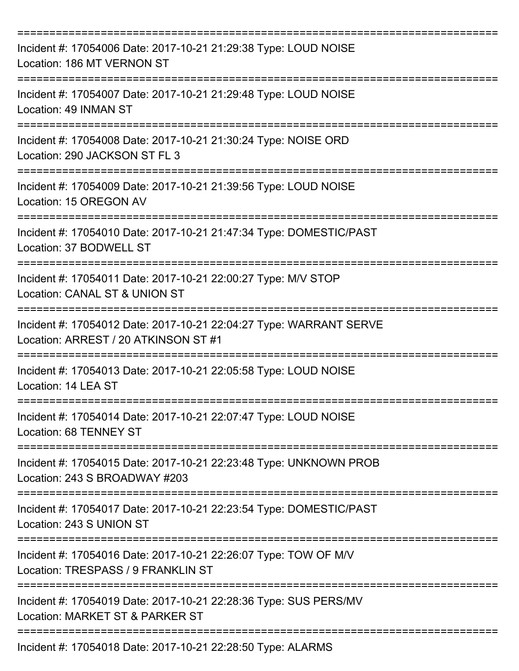| Incident #: 17054006 Date: 2017-10-21 21:29:38 Type: LOUD NOISE<br>Location: 186 MT VERNON ST              |
|------------------------------------------------------------------------------------------------------------|
| Incident #: 17054007 Date: 2017-10-21 21:29:48 Type: LOUD NOISE<br>Location: 49 INMAN ST                   |
| Incident #: 17054008 Date: 2017-10-21 21:30:24 Type: NOISE ORD<br>Location: 290 JACKSON ST FL 3            |
| Incident #: 17054009 Date: 2017-10-21 21:39:56 Type: LOUD NOISE<br>Location: 15 OREGON AV                  |
| Incident #: 17054010 Date: 2017-10-21 21:47:34 Type: DOMESTIC/PAST<br>Location: 37 BODWELL ST              |
| Incident #: 17054011 Date: 2017-10-21 22:00:27 Type: M/V STOP<br>Location: CANAL ST & UNION ST             |
| Incident #: 17054012 Date: 2017-10-21 22:04:27 Type: WARRANT SERVE<br>Location: ARREST / 20 ATKINSON ST #1 |
| Incident #: 17054013 Date: 2017-10-21 22:05:58 Type: LOUD NOISE<br>Location: 14 LEA ST                     |
| Incident #: 17054014 Date: 2017-10-21 22:07:47 Type: LOUD NOISE<br>Location: 68 TENNEY ST                  |
| Incident #: 17054015 Date: 2017-10-21 22:23:48 Type: UNKNOWN PROB<br>Location: 243 S BROADWAY #203         |
| Incident #: 17054017 Date: 2017-10-21 22:23:54 Type: DOMESTIC/PAST<br>Location: 243 S UNION ST             |
| Incident #: 17054016 Date: 2017-10-21 22:26:07 Type: TOW OF M/V<br>Location: TRESPASS / 9 FRANKLIN ST      |
| Incident #: 17054019 Date: 2017-10-21 22:28:36 Type: SUS PERS/MV<br>Location: MARKET ST & PARKER ST        |
| Incident #: 17054018 Date: 2017-10-21 22:28:50 Type: ALARMS                                                |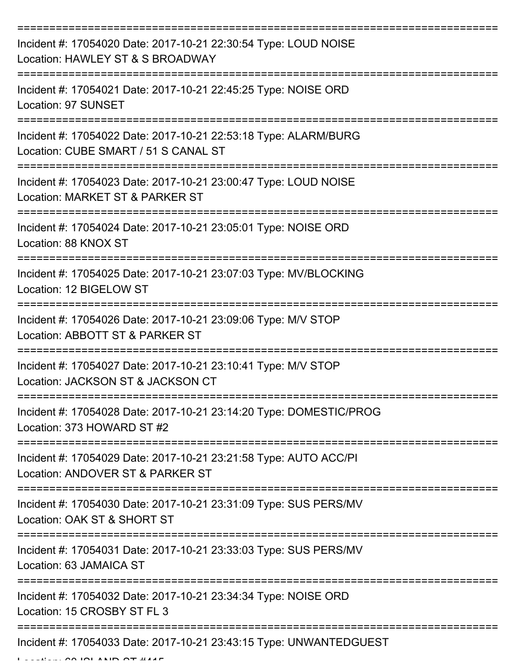| Incident #: 17054020 Date: 2017-10-21 22:30:54 Type: LOUD NOISE<br>Location: HAWLEY ST & S BROADWAY     |
|---------------------------------------------------------------------------------------------------------|
| Incident #: 17054021 Date: 2017-10-21 22:45:25 Type: NOISE ORD<br>Location: 97 SUNSET                   |
| Incident #: 17054022 Date: 2017-10-21 22:53:18 Type: ALARM/BURG<br>Location: CUBE SMART / 51 S CANAL ST |
| Incident #: 17054023 Date: 2017-10-21 23:00:47 Type: LOUD NOISE<br>Location: MARKET ST & PARKER ST      |
| Incident #: 17054024 Date: 2017-10-21 23:05:01 Type: NOISE ORD<br>Location: 88 KNOX ST                  |
| Incident #: 17054025 Date: 2017-10-21 23:07:03 Type: MV/BLOCKING<br>Location: 12 BIGELOW ST             |
| Incident #: 17054026 Date: 2017-10-21 23:09:06 Type: M/V STOP<br>Location: ABBOTT ST & PARKER ST        |
| Incident #: 17054027 Date: 2017-10-21 23:10:41 Type: M/V STOP<br>Location: JACKSON ST & JACKSON CT      |
| Incident #: 17054028 Date: 2017-10-21 23:14:20 Type: DOMESTIC/PROG<br>Location: 373 HOWARD ST #2        |
| Incident #: 17054029 Date: 2017-10-21 23:21:58 Type: AUTO ACC/PI<br>Location: ANDOVER ST & PARKER ST    |
| Incident #: 17054030 Date: 2017-10-21 23:31:09 Type: SUS PERS/MV<br>Location: OAK ST & SHORT ST         |
| Incident #: 17054031 Date: 2017-10-21 23:33:03 Type: SUS PERS/MV<br>Location: 63 JAMAICA ST             |
| Incident #: 17054032 Date: 2017-10-21 23:34:34 Type: NOISE ORD<br>Location: 15 CROSBY ST FL 3           |
| Incident #: 17054033 Date: 2017-10-21 23:43:15 Type: UNWANTEDGUEST                                      |